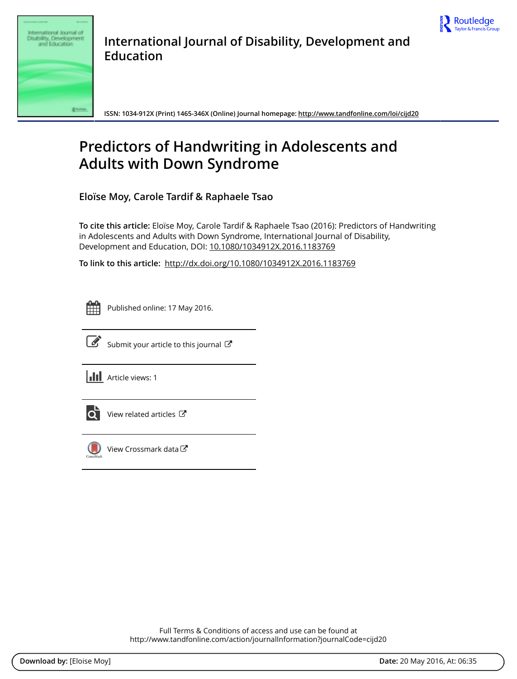



**International Journal of Disability, Development and Education**

**ISSN: 1034-912X (Print) 1465-346X (Online) Journal homepage:<http://www.tandfonline.com/loi/cijd20>**

# **Predictors of Handwriting in Adolescents and Adults with Down Syndrome**

**Eloïse Moy, Carole Tardif & Raphaele Tsao**

**To cite this article:** Eloïse Moy, Carole Tardif & Raphaele Tsao (2016): Predictors of Handwriting in Adolescents and Adults with Down Syndrome, International Journal of Disability, Development and Education, DOI: [10.1080/1034912X.2016.1183769](http://www.tandfonline.com/action/showCitFormats?doi=10.1080/1034912X.2016.1183769)

**To link to this article:** <http://dx.doi.org/10.1080/1034912X.2016.1183769>

|  | - |  |
|--|---|--|
|  |   |  |
|  |   |  |
|  |   |  |

Published online: 17 May 2016.



 $\overrightarrow{S}$  [Submit your article to this journal](http://www.tandfonline.com/action/authorSubmission?journalCode=cijd20&page=instructions)  $\overrightarrow{S}$ 

**III** Article views: 1



 $\overrightarrow{Q}$  [View related articles](http://www.tandfonline.com/doi/mlt/10.1080/1034912X.2016.1183769)  $\overrightarrow{C}$ 



[View Crossmark data](http://crossmark.crossref.org/dialog/?doi=10.1080/1034912X.2016.1183769&domain=pdf&date_stamp=2016-05-17)<sup>で</sup>

Full Terms & Conditions of access and use can be found at <http://www.tandfonline.com/action/journalInformation?journalCode=cijd20>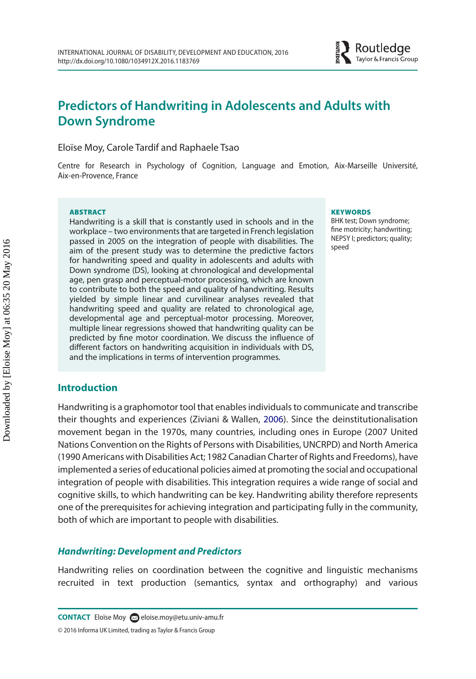# **Predictors of Handwriting in Adolescents and Adults with Down Syndrome**

Eloïse Moy, Carole Tardif and Raphaele Tsao

Centre for Research in Psychology of Cognition, Language and Emotion, Aix-Marseille Université, Aix-en-Provence, France

#### ABSTRACT

Handwriting is a skill that is constantly used in schools and in the workplace – two environments that are targeted in French legislation passed in 2005 on the integration of people with disabilities. The aim of the present study was to determine the predictive factors for handwriting speed and quality in adolescents and adults with Down syndrome (DS), looking at chronological and developmental age, pen grasp and perceptual-motor processing, which are known to contribute to both the speed and quality of handwriting. Results yielded by simple linear and curvilinear analyses revealed that handwriting speed and quality are related to chronological age, developmental age and perceptual-motor processing. Moreover, multiple linear regressions showed that handwriting quality can be predicted by fine motor coordination. We discuss the influence of different factors on handwriting acquisition in individuals with DS, and the implications in terms of intervention programmes.

#### **Introduction**

Handwriting is a graphomotor tool that enables individuals to communicate and transcribe their thoughts and experiences (Ziviani & Wallen, [2006\)](#page-13-0). Since the deinstitutionalisation movement began in the 1970s, many countries, including ones in Europe (2007 United Nations Convention on the Rights of Persons with Disabilities, UNCRPD) and North America (1990 Americans with Disabilities Act; 1982 Canadian Charter of Rights and Freedoms), have implemented a series of educational policies aimed at promoting the social and occupational integration of people with disabilities. This integration requires a wide range of social and cognitive skills, to which handwriting can be key. Handwriting ability therefore represents one of the prerequisites for achieving integration and participating fully in the community, both of which are important to people with disabilities.

#### *Handwriting: Development and Predictors*

Handwriting relies on coordination between the cognitive and linguistic mechanisms recruited in text production (semantics, syntax and orthography) and various

#### **KEYWORDS**

<span id="page-1-0"></span>BHK test; Down syndrome; fine motricity; handwriting; NEPSY I; predictors; quality; speed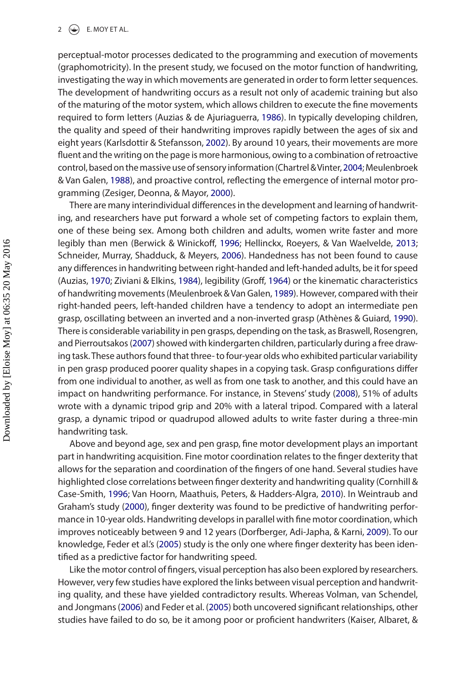#### 2  $\left(\frac{1}{2}\right)$  E. MOY ET AL.

<span id="page-2-2"></span>perceptual-motor processes dedicated to the programming and execution of movements (graphomotricity). In the present study, we focused on the motor function of handwriting, investigating the way in which movements are generated in order to form letter sequences. The development of handwriting occurs as a result not only of academic training but also of the maturing of the motor system, which allows children to execute the fine movements required to form letters (Auzias & de Ajuriaguerra, [1986\)](#page-10-0). In typically developing children, the quality and speed of their handwriting improves rapidly between the ages of six and eight years (Karlsdottir & Stefansson, [2002\)](#page-11-0). By around 10 years, their movements are more fluent and the writing on the page is more harmonious, owing to a combination of retroactive control, based on the massive use of sensory information (Chartrel & Vinter, [2004;](#page-11-1) Meulenbroek & Van Galen, [1988\)](#page-11-2), and proactive control, reflecting the emergence of internal motor programming (Zesiger, Deonna, & Mayor, [2000\)](#page-13-1).

<span id="page-2-20"></span><span id="page-2-19"></span><span id="page-2-14"></span><span id="page-2-13"></span><span id="page-2-12"></span><span id="page-2-11"></span><span id="page-2-10"></span><span id="page-2-9"></span><span id="page-2-5"></span><span id="page-2-3"></span><span id="page-2-1"></span><span id="page-2-0"></span>There are many interindividual differences in the development and learning of handwriting, and researchers have put forward a whole set of competing factors to explain them, one of these being sex. Among both children and adults, women write faster and more legibly than men (Berwick & Winickoff, [1996](#page-10-1); Hellinckx, Roeyers, & Van Waelvelde, [2013](#page-11-3); Schneider, Murray, Shadduck, & Meyers, [2006](#page-12-0)). Handedness has not been found to cause any differences in handwriting between right-handed and left-handed adults, be it for speed (Auzias, [1970](#page-10-2); Ziviani & Elkins, [1984](#page-13-2)), legibility (Groff, [1964\)](#page-11-4) or the kinematic characteristics of handwriting movements (Meulenbroek & Van Galen, [1989](#page-11-5)). However, compared with their right-handed peers, left-handed children have a tendency to adopt an intermediate pen grasp, oscillating between an inverted and a non-inverted grasp (Athènes & Guiard, [1990](#page-10-3)). There is considerable variability in pen grasps, depending on the task, as Braswell, Rosengren, and Pierroutsakos [\(2007](#page-10-4)) showed with kindergarten children, particularly during a free drawing task. These authors found that three- to four-year olds who exhibited particular variability in pen grasp produced poorer quality shapes in a copying task. Grasp configurations differ from one individual to another, as well as from one task to another, and this could have an impact on handwriting performance. For instance, in Stevens' study ([2008](#page-12-1)), 51% of adults wrote with a dynamic tripod grip and 20% with a lateral tripod. Compared with a lateral grasp, a dynamic tripod or quadrupod allowed adults to write faster during a three-min handwriting task.

<span id="page-2-18"></span><span id="page-2-16"></span><span id="page-2-15"></span><span id="page-2-6"></span><span id="page-2-4"></span>Above and beyond age, sex and pen grasp, fine motor development plays an important part in handwriting acquisition. Fine motor coordination relates to the finger dexterity that allows for the separation and coordination of the fingers of one hand. Several studies have highlighted close correlations between finger dexterity and handwriting quality (Cornhill & Case-Smith, [1996;](#page-11-6) Van Hoorn, Maathuis, Peters, & Hadders-Algra, [2010](#page-12-2)). In Weintraub and Graham's study [\(2000\)](#page-12-3), finger dexterity was found to be predictive of handwriting performance in 10-year olds. Handwriting develops in parallel with fine motor coordination, which improves noticeably between 9 and 12 years (Dorfberger, Adi-Japha, & Karni, [2009](#page-11-7)). To our knowledge, Feder et al.'s ([2005](#page-11-8)) study is the only one where finger dexterity has been identified as a predictive factor for handwriting speed.

<span id="page-2-17"></span><span id="page-2-8"></span><span id="page-2-7"></span>Like the motor control of fingers, visual perception has also been explored by researchers. However, very few studies have explored the links between visual perception and handwriting quality, and these have yielded contradictory results. Whereas Volman, van Schendel, and Jongmans [\(2006](#page-12-4)) and Feder et al. [\(2005\)](#page-11-8) both uncovered significant relationships, other studies have failed to do so, be it among poor or proficient handwriters (Kaiser, Albaret, &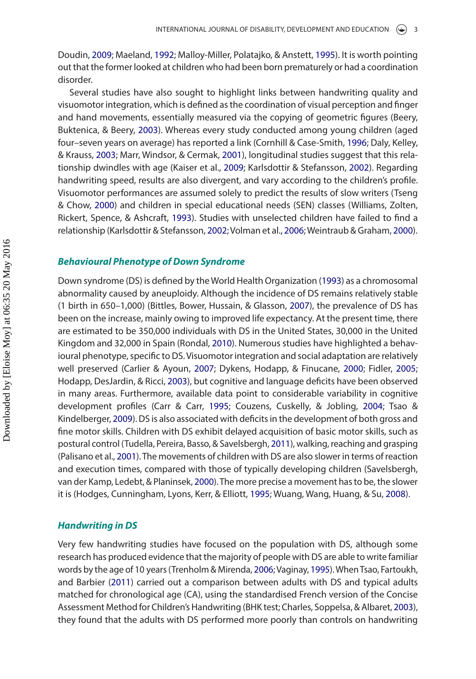<span id="page-3-13"></span><span id="page-3-12"></span><span id="page-3-11"></span>Doudin, [2009;](#page-11-9) Maeland, [1992](#page-11-10); Malloy-Miller, Polatajko, & Anstett, [1995](#page-11-11)). It is worth pointing out that the former looked at children who had been born prematurely or had a coordination disorder.

<span id="page-3-14"></span><span id="page-3-6"></span><span id="page-3-0"></span>Several studies have also sought to highlight links between handwriting quality and visuomotor integration, which is defined as the coordination of visual perception and finger and hand movements, essentially measured via the copying of geometric figures (Beery, Buktenica, & Beery, [2003\)](#page-10-5). Whereas every study conducted among young children (aged four–seven years on average) has reported a link (Cornhill & Case-Smith, [1996](#page-11-6); Daly, Kelley, & Krauss, [2003](#page-11-12); Marr, Windsor, & Cermak, [2001\)](#page-11-13), longitudinal studies suggest that this relationship dwindles with age (Kaiser et al., [2009](#page-11-9); Karlsdottir & Stefansson, [2002\)](#page-11-0). Regarding handwriting speed, results are also divergent, and vary according to the children's profile. Visuomotor performances are assumed solely to predict the results of slow writers (Tseng & Chow, [2000\)](#page-12-5) and children in special educational needs (SEN) classes (Williams, Zolten, Rickert, Spence, & Ashcraft, [1993\)](#page-12-6). Studies with unselected children have failed to find a relationship (Karlsdottir & Stefansson, [2002](#page-11-0); Volman et al., [2006](#page-12-4); Weintraub & Graham, [2000](#page-12-3)).

#### <span id="page-3-24"></span><span id="page-3-21"></span>*Behavioural Phenotype of Down Syndrome*

<span id="page-3-25"></span><span id="page-3-16"></span><span id="page-3-9"></span><span id="page-3-8"></span><span id="page-3-7"></span><span id="page-3-5"></span><span id="page-3-3"></span><span id="page-3-2"></span><span id="page-3-1"></span>Down syndrome (DS) is defined by the World Health Organization [\(1993\)](#page-12-7) as a chromosomal abnormality caused by aneuploidy. Although the incidence of DS remains relatively stable (1 birth in 650–1,000) (Bittles, Bower, Hussain, & Glasson, [2007\)](#page-10-6), the prevalence of DS has been on the increase, mainly owing to improved life expectancy. At the present time, there are estimated to be 350,000 individuals with DS in the United States, 30,000 in the United Kingdom and 32,000 in Spain (Rondal, [2010](#page-12-8)). Numerous studies have highlighted a behavioural phenotype, specific to DS. Visuomotor integration and social adaptation are relatively well preserved (Carlier & Ayoun, [2007;](#page-10-7) Dykens, Hodapp, & Finucane, [2000;](#page-11-14) Fidler, [2005](#page-11-15); Hodapp, DesJardin, & Ricci, [2003](#page-11-16)), but cognitive and language deficits have been observed in many areas. Furthermore, available data point to considerable variability in cognitive development profiles (Carr & Carr, [1995](#page-10-8); Couzens, Cuskelly, & Jobling, [2004;](#page-11-17) Tsao & Kindelberger, [2009](#page-12-9)). DS is also associated with deficits in the development of both gross and fine motor skills. Children with DS exhibit delayed acquisition of basic motor skills, such as postural control (Tudella, Pereira, Basso, & Savelsbergh, [2011](#page-12-10)), walking, reaching and grasping (Palisano et al., [2001](#page-12-11)). The movements of children with DS are also slower in terms of reaction and execution times, compared with those of typically developing children (Savelsbergh, van der Kamp, Ledebt, & Planinsek, [2000\)](#page-12-12). The more precise a movement has to be, the slower it is (Hodges, Cunningham, Lyons, Kerr, & Elliott, [1995;](#page-11-18) Wuang, Wang, Huang, & Su, [2008](#page-12-13)).

#### <span id="page-3-26"></span><span id="page-3-22"></span><span id="page-3-20"></span><span id="page-3-17"></span><span id="page-3-15"></span><span id="page-3-10"></span>*Handwriting in DS*

<span id="page-3-23"></span><span id="page-3-19"></span><span id="page-3-18"></span><span id="page-3-4"></span>Very few handwriting studies have focused on the population with DS, although some research has produced evidence that the majority of people with DS are able to write familiar words by the age of 10 years (Trenholm & Mirenda, [2006](#page-12-14); Vaginay, [1995\)](#page-12-15). When Tsao, Fartoukh, and Barbier [\(2011\)](#page-12-16) carried out a comparison between adults with DS and typical adults matched for chronological age (CA), using the standardised French version of the Concise Assessment Method for Children's Handwriting (BHK test; Charles, Soppelsa, & Albaret, [2003](#page-11-19)), they found that the adults with DS performed more poorly than controls on handwriting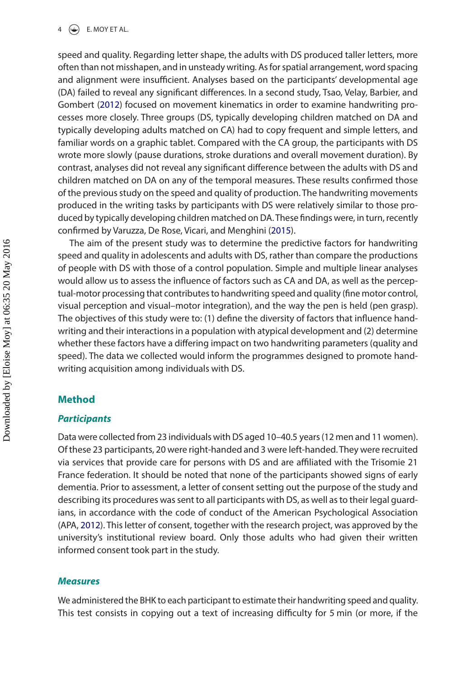#### $4 \quad \circledast$  E. MOY ET AL.

<span id="page-4-1"></span>speed and quality. Regarding letter shape, the adults with DS produced taller letters, more often than not misshapen, and in unsteady writing. As for spatial arrangement, word spacing and alignment were insufficient. Analyses based on the participants' developmental age (DA) failed to reveal any significant differences. In a second study, Tsao, Velay, Barbier, and Gombert ([2012](#page-12-17)) focused on movement kinematics in order to examine handwriting processes more closely. Three groups (DS, typically developing children matched on DA and typically developing adults matched on CA) had to copy frequent and simple letters, and familiar words on a graphic tablet. Compared with the CA group, the participants with DS wrote more slowly (pause durations, stroke durations and overall movement duration). By contrast, analyses did not reveal any significant difference between the adults with DS and children matched on DA on any of the temporal measures. These results confirmed those of the previous study on the speed and quality of production. The handwriting movements produced in the writing tasks by participants with DS were relatively similar to those produced by typically developing children matched on DA. These findings were, in turn, recently confirmed by Varuzza, De Rose, Vicari, and Menghini [\(2015\)](#page-12-18).

<span id="page-4-2"></span>The aim of the present study was to determine the predictive factors for handwriting speed and quality in adolescents and adults with DS, rather than compare the productions of people with DS with those of a control population. Simple and multiple linear analyses would allow us to assess the influence of factors such as CA and DA, as well as the perceptual-motor processing that contributes to handwriting speed and quality (fine motor control, visual perception and visual–motor integration), and the way the pen is held (pen grasp). The objectives of this study were to: (1) define the diversity of factors that influence handwriting and their interactions in a population with atypical development and (2) determine whether these factors have a differing impact on two handwriting parameters (quality and speed). The data we collected would inform the programmes designed to promote handwriting acquisition among individuals with DS.

#### **Method**

#### *Participants*

Data were collected from 23 individuals with DS aged 10–40.5 years (12 men and 11 women). Of these 23 participants, 20 were right-handed and 3 were left-handed. They were recruited via services that provide care for persons with DS and are affiliated with the Trisomie 21 France federation. It should be noted that none of the participants showed signs of early dementia. Prior to assessment, a letter of consent setting out the purpose of the study and describing its procedures was sent to all participants with DS, as well as to their legal guardians, in accordance with the code of conduct of the American Psychological Association (APA, [2012](#page-10-9)). This letter of consent, together with the research project, was approved by the university's institutional review board. Only those adults who had given their written informed consent took part in the study.

#### <span id="page-4-0"></span>*Measures*

We administered the BHK to each participant to estimate their handwriting speed and quality. This test consists in copying out a text of increasing difficulty for 5 min (or more, if the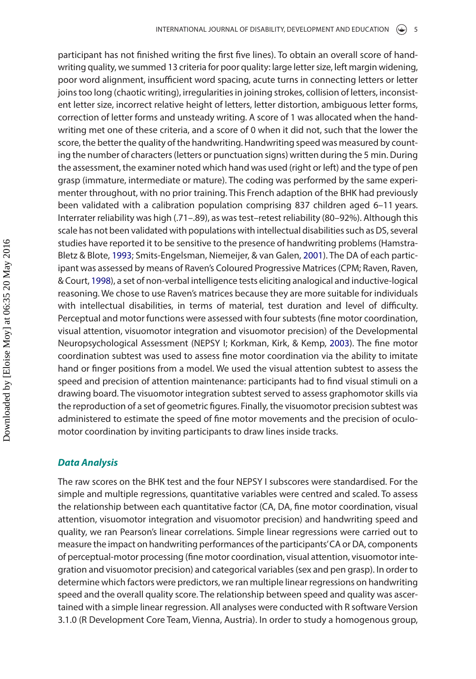<span id="page-5-3"></span><span id="page-5-0"></span>participant has not finished writing the first five lines). To obtain an overall score of handwriting quality, we summed 13 criteria for poor quality: large letter size, left margin widening, poor word alignment, insufficient word spacing, acute turns in connecting letters or letter joins too long (chaotic writing), irregularities in joining strokes, collision of letters, inconsistent letter size, incorrect relative height of letters, letter distortion, ambiguous letter forms, correction of letter forms and unsteady writing. A score of 1 was allocated when the handwriting met one of these criteria, and a score of 0 when it did not, such that the lower the score, the better the quality of the handwriting. Handwriting speed was measured by counting the number of characters (letters or punctuation signs) written during the 5 min. During the assessment, the examiner noted which hand was used (right or left) and the type of pen grasp (immature, intermediate or mature). The coding was performed by the same experimenter throughout, with no prior training. This French adaption of the BHK had previously been validated with a calibration population comprising 837 children aged 6–11 years. Interrater reliability was high (.71–.89), as was test–retest reliability (80–92%). Although this scale has not been validated with populations with intellectual disabilities such as DS, several studies have reported it to be sensitive to the presence of handwriting problems (Hamstra-Bletz & Blote, [1993;](#page-11-20) Smits-Engelsman, Niemeijer, & van Galen, [2001\)](#page-12-19). The DA of each participant was assessed by means of Raven's Coloured Progressive Matrices (CPM; Raven, Raven, & Court, [1998\)](#page-12-20), a set of non-verbal intelligence tests eliciting analogical and inductive-logical reasoning. We chose to use Raven's matrices because they are more suitable for individuals with intellectual disabilities, in terms of material, test duration and level of difficulty. Perceptual and motor functions were assessed with four subtests (fine motor coordination, visual attention, visuomotor integration and visuomotor precision) of the Developmental Neuropsychological Assessment (NEPSY I; Korkman, Kirk, & Kemp, [2003](#page-11-21)). The fine motor coordination subtest was used to assess fine motor coordination via the ability to imitate hand or finger positions from a model. We used the visual attention subtest to assess the speed and precision of attention maintenance: participants had to find visual stimuli on a drawing board. The visuomotor integration subtest served to assess graphomotor skills via the reproduction of a set of geometric figures. Finally, the visuomotor precision subtest was administered to estimate the speed of fine motor movements and the precision of oculomotor coordination by inviting participants to draw lines inside tracks.

#### <span id="page-5-2"></span><span id="page-5-1"></span>*Data Analysis*

The raw scores on the BHK test and the four NEPSY I subscores were standardised. For the simple and multiple regressions, quantitative variables were centred and scaled. To assess the relationship between each quantitative factor (CA, DA, fine motor coordination, visual attention, visuomotor integration and visuomotor precision) and handwriting speed and quality, we ran Pearson's linear correlations. Simple linear regressions were carried out to measure the impact on handwriting performances of the participants' CA or DA, components of perceptual-motor processing (fine motor coordination, visual attention, visuomotor integration and visuomotor precision) and categorical variables (sex and pen grasp). In order to determine which factors were predictors, we ran multiple linear regressions on handwriting speed and the overall quality score. The relationship between speed and quality was ascertained with a simple linear regression. All analyses were conducted with R software Version 3.1.0 (R Development Core Team, Vienna, Austria). In order to study a homogenous group,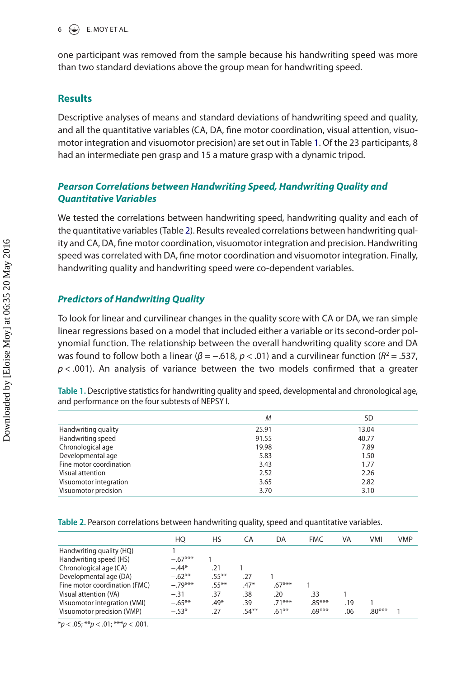one participant was removed from the sample because his handwriting speed was more than two standard deviations above the group mean for handwriting speed.

### **Results**

Descriptive analyses of means and standard deviations of handwriting speed and quality, and all the quantitative variables (CA, DA, fine motor coordination, visual attention, visuomotor integration and visuomotor precision) are set out in Table [1.](#page-6-0) Of the 23 participants, 8 had an intermediate pen grasp and 15 a mature grasp with a dynamic tripod.

# *Pearson Correlations between Handwriting Speed, Handwriting Quality and Quantitative Variables*

We tested the correlations between handwriting speed, handwriting quality and each of the quantitative variables (Table [2](#page-6-1)). Results revealed correlations between handwriting quality and CA, DA, fine motor coordination, visuomotor integration and precision. Handwriting speed was correlated with DA, fine motor coordination and visuomotor integration. Finally, handwriting quality and handwriting speed were co-dependent variables.

# *Predictors of Handwriting Quality*

To look for linear and curvilinear changes in the quality score with CA or DA, we ran simple linear regressions based on a model that included either a variable or its second-order polynomial function. The relationship between the overall handwriting quality score and DA was found to follow both a linear (*β* = −.618, *p* < .01) and a curvilinear function (*R*<sup>2</sup> = .537,  $p$  < .001). An analysis of variance between the two models confirmed that a greater

<span id="page-6-0"></span>**Table 1.** Descriptive statistics for handwriting quality and speed, developmental and chronological age, and performance on the four subtests of NEPSY I.

|                         | M     | SD    |
|-------------------------|-------|-------|
| Handwriting quality     | 25.91 | 13.04 |
| Handwriting speed       | 91.55 | 40.77 |
| Chronological age       | 19.98 | 7.89  |
| Developmental age       | 5.83  | 1.50  |
| Fine motor coordination | 3.43  | 1.77  |
| Visual attention        | 2.52  | 2.26  |
| Visuomotor integration  | 3.65  | 2.82  |
| Visuomotor precision    | 3.70  | 3.10  |

<span id="page-6-1"></span>**Table 2.** Pearson correlations between handwriting quality, speed and quantitative variables.

|                               | HО        | HS       | СA       | DA       | <b>FMC</b> | VA  | <b>VMI</b> | <b>VMP</b> |  |
|-------------------------------|-----------|----------|----------|----------|------------|-----|------------|------------|--|
| Handwriting quality (HQ)      |           |          |          |          |            |     |            |            |  |
| Handwriting speed (HS)        | $-.67***$ |          |          |          |            |     |            |            |  |
| Chronological age (CA)        | $-.44*$   | .21      |          |          |            |     |            |            |  |
| Developmental age (DA)        | $-.62**$  | $.55***$ | .27      |          |            |     |            |            |  |
| Fine motor coordination (FMC) | $-.79***$ | $.55***$ | $.47*$   | $.67***$ |            |     |            |            |  |
| Visual attention (VA)         | $-.31$    | .37      | .38      | .20      | .33        |     |            |            |  |
| Visuomotor integration (VMI)  | $-.65***$ | $.49*$   | .39      | $.71***$ | $.85***$   | .19 |            |            |  |
| Visuomotor precision (VMP)    | $-.53*$   | .27      | $.54***$ | $.61***$ | $.69***$   | .06 | $.80***$   |            |  |
|                               |           |          |          |          |            |     |            |            |  |

\**p* < .05; \*\**p* < .01; \*\*\**p* < .001.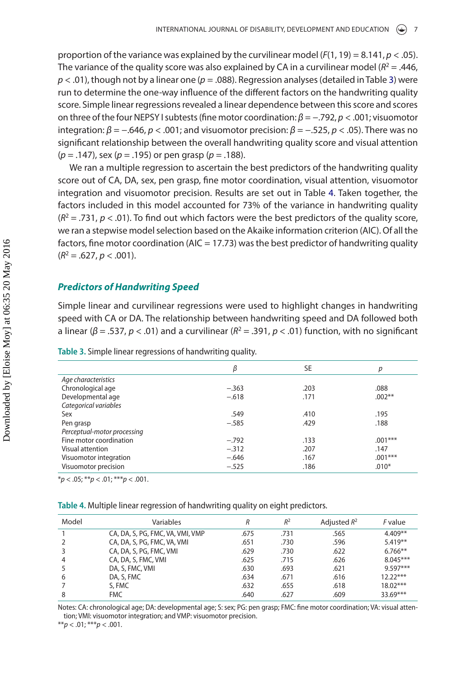proportion of the variance was explained by the curvilinear model  $(F(1, 19) = 8.141, p < .05)$ . The variance of the quality score was also explained by CA in a curvilinear model  $(R^2 = .446, )$ *p* < .01), though not by a linear one (*p* = .088). Regression analyses (detailed in Table [3](#page-7-0)) were run to determine the one-way influence of the different factors on the handwriting quality score. Simple linear regressions revealed a linear dependence between this score and scores on three of the four NEPSY I subtests (fine motor coordination: *β* = −.792, *p* < .001; visuomotor integration:  $β = -.646$ ,  $p < .001$ ; and visuomotor precision:  $β = -.525$ ,  $p < .05$ ). There was no significant relationship between the overall handwriting quality score and visual attention (*p* = .147), sex (*p* = .195) or pen grasp (*p* = .188).

We ran a multiple regression to ascertain the best predictors of the handwriting quality score out of CA, DA, sex, pen grasp, fine motor coordination, visual attention, visuomotor integration and visuomotor precision. Results are set out in Table [4.](#page-7-1) Taken together, the factors included in this model accounted for 73% of the variance in handwriting quality  $(R<sup>2</sup> = .731, p < .01)$ . To find out which factors were the best predictors of the quality score, we ran a stepwise model selection based on the Akaike information criterion (AIC). Of all the factors, fine motor coordination ( $AIC = 17.73$ ) was the best predictor of handwriting quality  $(R^2 = .627, p < .001)$ .

#### *Predictors of Handwriting Speed*

Simple linear and curvilinear regressions were used to highlight changes in handwriting speed with CA or DA. The relationship between handwriting speed and DA followed both a linear (*β* = .537, *p* < .01) and a curvilinear (*R*<sup>2</sup> = .391, *p* < .01) function, with no significant

<span id="page-7-0"></span>

|  | Table 3. Simple linear regressions of handwriting quality. |  |  |
|--|------------------------------------------------------------|--|--|
|  |                                                            |  |  |

|                             | β       | <b>SE</b> | р         |
|-----------------------------|---------|-----------|-----------|
| Age characteristics         |         |           |           |
| Chronological age           | $-.363$ | .203      | .088      |
| Developmental age           | $-.618$ | .171      | $.002***$ |
| Categorical variables       |         |           |           |
| Sex                         | .549    | .410      | .195      |
| Pen grasp                   | $-.585$ | .429      | .188      |
| Perceptual-motor processing |         |           |           |
| Fine motor coordination     | $-.792$ | .133      | $.001***$ |
| Visual attention            | $-.312$ | .207      | .147      |
| Visuomotor integration      | $-.646$ | .167      | $.001***$ |
| Visuomotor precision        | $-.525$ | .186      | $.010*$   |

 $**p* < .05; ***p* < .01; ****p* < .001.$ 

<span id="page-7-1"></span>

| Table 4. Multiple linear regression of handwriting quality on eight predictors. |
|---------------------------------------------------------------------------------|
|---------------------------------------------------------------------------------|

| Model | Variables                        |      | $R^2$ | Adjusted $R^2$ | <i>F</i> value |
|-------|----------------------------------|------|-------|----------------|----------------|
|       | CA, DA, S, PG, FMC, VA, VMI, VMP | .675 | .731  | .565           | $4.409**$      |
|       | CA, DA, S, PG, FMC, VA, VMI      | .651 | .730  | .596           | $5.419**$      |
|       | CA, DA, S, PG, FMC, VMI          | .629 | .730  | .622           | $6.766***$     |
| 4     | CA, DA, S, FMC, VMI              | .625 | .715  | .626           | $8.045***$     |
|       | DA, S, FMC, VMI                  | .630 | .693  | .621           | $9.597***$     |
| 6     | DA, S, FMC                       | .634 | .671  | .616           | $12.22***$     |
|       | S. FMC                           | .632 | .655  | .618           | $18.02***$     |
| 8     | <b>FMC</b>                       | .640 | .627  | .609           | 33.69***       |

Notes: CA: chronological age; DA: developmental age; S: sex; PG: pen grasp; FMC: fine motor coordination; VA: visual attention; VMI: visuomotor integration; and VMP: visuomotor precision.

\*\**p* < .01; \*\*\**p* < .001.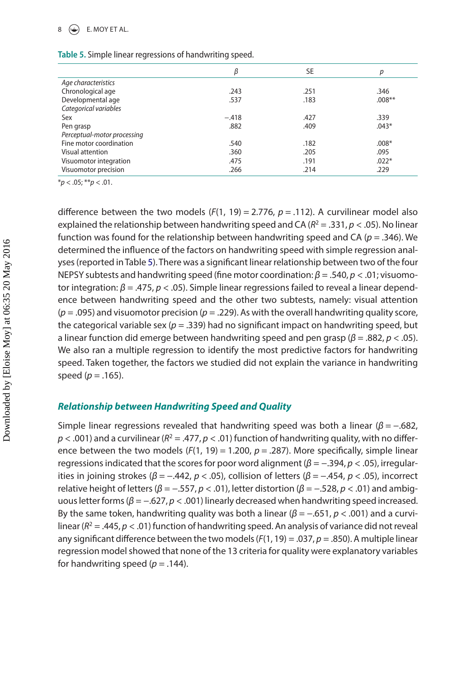#### $\circledast$  E. MOY ET AL.

|                             | β       | <b>SE</b> | р        |
|-----------------------------|---------|-----------|----------|
| Age characteristics         |         |           |          |
| Chronological age           | .243    | .251      | .346     |
| Developmental age           | .537    | .183      | $.008**$ |
| Categorical variables       |         |           |          |
| Sex                         | $-.418$ | .427      | .339     |
| Pen grasp                   | .882    | .409      | $.043*$  |
| Perceptual-motor processing |         |           |          |
| Fine motor coordination     | .540    | .182      | $.008*$  |
| Visual attention            | .360    | .205      | .095     |
| Visuomotor integration      | .475    | .191      | $.022*$  |
| Visuomotor precision        | .266    | .214      | .229     |
|                             |         |           |          |

<span id="page-8-0"></span>

| Table 5. Simple linear regressions of handwriting speed. |  |  |  |  |  |  |  |
|----------------------------------------------------------|--|--|--|--|--|--|--|
|----------------------------------------------------------|--|--|--|--|--|--|--|

\**p* < .05; \*\**p* < .01.

difference between the two models  $(F(1, 19) = 2.776, p = .112)$ . A curvilinear model also explained the relationship between handwriting speed and CA ( $R^2 = .331$ ,  $p < .05$ ). No linear function was found for the relationship between handwriting speed and CA (*p* = .346). We determined the influence of the factors on handwriting speed with simple regression analyses (reported in Table [5](#page-8-0)). There was a significant linear relationship between two of the four NEPSY subtests and handwriting speed (fine motor coordination: *β* = .540, *p* < .01; visuomotor integration: *β* = .475, *p* < .05). Simple linear regressions failed to reveal a linear dependence between handwriting speed and the other two subtests, namely: visual attention (*p* = .095) and visuomotor precision (*p* = .229). As with the overall handwriting quality score, the categorical variable sex  $(p = .339)$  had no significant impact on handwriting speed, but a linear function did emerge between handwriting speed and pen grasp (*β* = .882, *p* < .05). We also ran a multiple regression to identify the most predictive factors for handwriting speed. Taken together, the factors we studied did not explain the variance in handwriting speed ( $p = .165$ ).

#### *Relationship between Handwriting Speed and Quality*

Simple linear regressions revealed that handwriting speed was both a linear (*β* = −.682,  $p < .001$ ) and a curvilinear ( $R^2 = .477$ ,  $p < .01$ ) function of handwriting quality, with no difference between the two models (*F*(1, 19) = 1.200, *p* = .287). More specifically, simple linear regressions indicated that the scores for poor word alignment (*β* = −.394, *p* < .05), irregularities in joining strokes (*β* = −.442, *p* < .05), collision of letters (*β* = −.454, *p* < .05), incorrect relative height of letters (*β* = −.557, *p* < .01), letter distortion (*β* = −.528, *p* < .01) and ambiguous letter forms (*β* = −.627, *p* < .001) linearly decreased when handwriting speed increased. By the same token, handwriting quality was both a linear ( $\beta$  = -.651,  $p$  < .001) and a curvilinear ( $R^2 = .445$ ,  $p < .01$ ) function of handwriting speed. An analysis of variance did not reveal any significant difference between the two models (*F*(1, 19) = .037, *p* = .850). A multiple linear regression model showed that none of the 13 criteria for quality were explanatory variables for handwriting speed ( $p = .144$ ).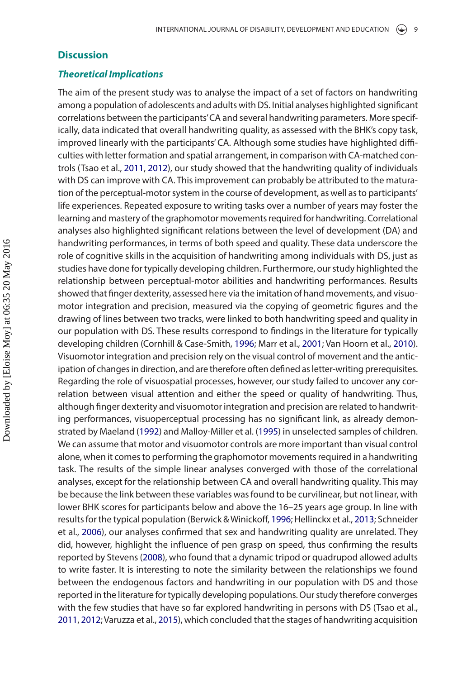#### **Discussion**

#### *Theoretical Implications*

The aim of the present study was to analyse the impact of a set of factors on handwriting among a population of adolescents and adults with DS. Initial analyses highlighted significant correlations between the participants' CA and several handwriting parameters. More specifically, data indicated that overall handwriting quality, as assessed with the BHK's copy task, improved linearly with the participants' CA. Although some studies have highlighted difficulties with letter formation and spatial arrangement, in comparison with CA-matched controls (Tsao et al., [2011](#page-12-16), [2012\)](#page-12-17), our study showed that the handwriting quality of individuals with DS can improve with CA. This improvement can probably be attributed to the maturation of the perceptual-motor system in the course of development, as well as to participants' life experiences. Repeated exposure to writing tasks over a number of years may foster the learning and mastery of the graphomotor movements required for handwriting. Correlational analyses also highlighted significant relations between the level of development (DA) and handwriting performances, in terms of both speed and quality. These data underscore the role of cognitive skills in the acquisition of handwriting among individuals with DS, just as studies have done for typically developing children. Furthermore, our study highlighted the relationship between perceptual-motor abilities and handwriting performances. Results showed that finger dexterity, assessed here via the imitation of hand movements, and visuomotor integration and precision, measured via the copying of geometric figures and the drawing of lines between two tracks, were linked to both handwriting speed and quality in our population with DS. These results correspond to findings in the literature for typically developing children (Cornhill & Case-Smith, [1996;](#page-11-6) Marr et al., [2001;](#page-11-13) Van Hoorn et al., [2010](#page-12-2)). Visuomotor integration and precision rely on the visual control of movement and the anticipation of changes in direction, and are therefore often defined as letter-writing prerequisites. Regarding the role of visuospatial processes, however, our study failed to uncover any correlation between visual attention and either the speed or quality of handwriting. Thus, although finger dexterity and visuomotor integration and precision are related to handwriting performances, visuoperceptual processing has no significant link, as already demonstrated by Maeland [\(1992\)](#page-11-10) and Malloy-Miller et al. ([1995](#page-11-11)) in unselected samples of children. We can assume that motor and visuomotor controls are more important than visual control alone, when it comes to performing the graphomotor movements required in a handwriting task. The results of the simple linear analyses converged with those of the correlational analyses, except for the relationship between CA and overall handwriting quality. This may be because the link between these variables was found to be curvilinear, but not linear, with lower BHK scores for participants below and above the 16–25 years age group. In line with results for the typical population (Berwick & Winickoff, [1996;](#page-10-1) Hellinckx et al., [2013;](#page-11-3) Schneider et al., [2006](#page-12-0)), our analyses confirmed that sex and handwriting quality are unrelated. They did, however, highlight the influence of pen grasp on speed, thus confirming the results reported by Stevens ([2008](#page-12-1)), who found that a dynamic tripod or quadrupod allowed adults to write faster. It is interesting to note the similarity between the relationships we found between the endogenous factors and handwriting in our population with DS and those reported in the literature for typically developing populations. Our study therefore converges with the few studies that have so far explored handwriting in persons with DS (Tsao et al., [2011](#page-12-16), [2012](#page-12-17); Varuzza et al., [2015\)](#page-12-18), which concluded that the stages of handwriting acquisition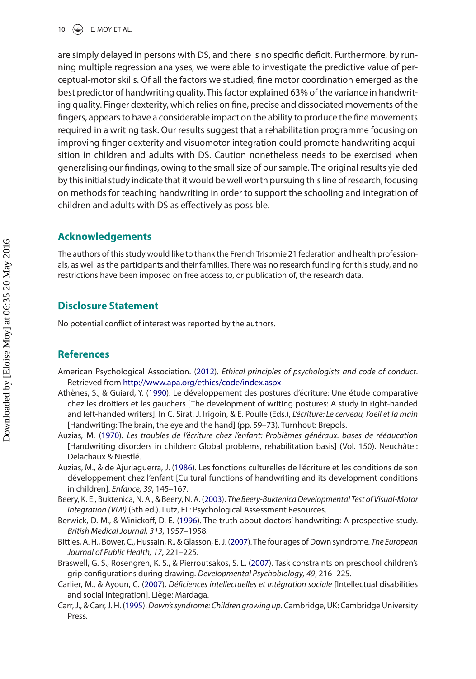10  $\left(\frac{1}{2}\right)$  E. MOY ET AL.

are simply delayed in persons with DS, and there is no specific deficit. Furthermore, by running multiple regression analyses, we were able to investigate the predictive value of perceptual-motor skills. Of all the factors we studied, fine motor coordination emerged as the best predictor of handwriting quality. This factor explained 63% of the variance in handwriting quality. Finger dexterity, which relies on fine, precise and dissociated movements of the fingers, appears to have a considerable impact on the ability to produce the fine movements required in a writing task. Our results suggest that a rehabilitation programme focusing on improving finger dexterity and visuomotor integration could promote handwriting acquisition in children and adults with DS. Caution nonetheless needs to be exercised when generalising our findings, owing to the small size of our sample. The original results yielded by this initial study indicate that it would be well worth pursuing this line of research, focusing on methods for teaching handwriting in order to support the schooling and integration of children and adults with DS as effectively as possible.

#### **Acknowledgements**

The authors of this study would like to thank the French Trisomie 21 federation and health professionals, as well as the participants and their families. There was no research funding for this study, and no restrictions have been imposed on free access to, or publication of, the research data.

#### **Disclosure Statement**

No potential conflict of interest was reported by the authors.

#### **References**

- <span id="page-10-9"></span>American Psychological Association. ([2012](#page-4-0)). *Ethical principles of psychologists and code of conduct*. Retrieved from <http://www.apa.org/ethics/code/index.aspx>
- <span id="page-10-3"></span>Athènes, S., & Guiard, Y. [\(1990\)](#page-2-0). Le développement des postures d'écriture: Une étude comparative chez les droitiers et les gauchers [The development of writing postures: A study in right-handed and left-handed writers]. In C. Sirat, J. Irigoin, & E. Poulle (Eds.), *L'écriture: Le cerveau, l'oeil et la main* [Handwriting: The brain, the eye and the hand] (pp. 59–73). Turnhout: Brepols.
- <span id="page-10-2"></span>Auzias, M. ([1970](#page-2-1)). *Les troubles de l'écriture chez l'enfant: Problèmes généraux. bases de rééducation* [Handwriting disorders in children: Global problems, rehabilitation basis] (Vol. 150). Neuchâtel: Delachaux & Niestlé.
- <span id="page-10-0"></span>Auzias, M., & de Ajuriaguerra, J. ([1986](#page-2-2)). Les fonctions culturelles de l'écriture et les conditions de son développement chez l'enfant [Cultural functions of handwriting and its development conditions in children]. *Enfance, 39*, 145–167.
- <span id="page-10-5"></span>Beery, K. E., Buktenica, N. A., & Beery, N. A. ([2003\)](#page-3-0). *The Beery-Buktenica Developmental Test of Visual-Motor Integration (VMI)* (5th ed.). Lutz, FL: Psychological Assessment Resources.
- <span id="page-10-1"></span>Berwick, D. M., & Winickoff, D. E. ([1996](#page-2-3)). The truth about doctors' handwriting: A prospective study. *British Medical Journal, 313*, 1957–1958.
- <span id="page-10-6"></span>Bittles, A. H., Bower, C., Hussain, R., & Glasson, E. J. ([2007\)](#page-3-1). The four ages of Down syndrome. *The European Journal of Public Health, 17*, 221–225.
- <span id="page-10-4"></span>Braswell, G. S., Rosengren, K. S., & Pierroutsakos, S. L. [\(2007\)](#page-2-4). Task constraints on preschool children's grip configurations during drawing. *Developmental Psychobiology, 49*, 216–225.
- <span id="page-10-7"></span>Carlier, M., & Ayoun, C. ([2007](#page-3-2)). *Déficiences intellectuelles et intégration sociale* [Intellectual disabilities and social integration]. Liège: Mardaga.
- <span id="page-10-8"></span>Carr, J., & Carr, J. H. ([1995\)](#page-3-3). *Down's syndrome: Children growing up*. Cambridge, UK: Cambridge University Press.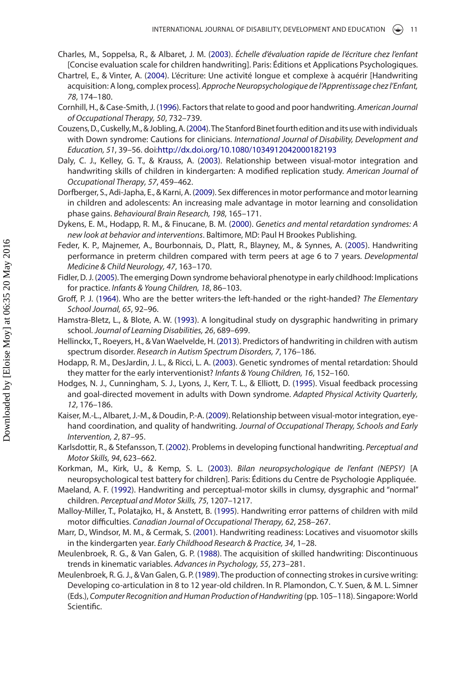- <span id="page-11-19"></span>Charles, M., Soppelsa, R., & Albaret, J. M. ([2003](#page-3-4)). *Échelle d'évaluation rapide de l'écriture chez l'enfant* [Concise evaluation scale for children handwriting]. Paris: Éditions et Applications Psychologiques.
- <span id="page-11-1"></span>Chartrel, E., & Vinter, A. [\(2004\)](#page-2-5). L'écriture: Une activité longue et complexe à acquérir [Handwriting acquisition: A long, complex process]. *Approche Neuropsychologique de l'Apprentissage chez l'Enfant, 78*, 174–180.
- <span id="page-11-6"></span>Cornhill, H., & Case-Smith, J. ([1996](#page-2-6)). Factors that relate to good and poor handwriting. *American Journal of Occupational Therapy, 50*, 732–739.
- <span id="page-11-17"></span>Couzens, D., Cuskelly, M., & Jobling, A. ([2004\)](#page-3-5). The Stanford Binet fourth edition and its use with individuals with Down syndrome: Cautions for clinicians. *International Journal of Disability, Development and Education, 51*, 39–56. doi:<http://dx.doi.org/10.1080/1034912042000182193>
- <span id="page-11-12"></span>Daly, C. J., Kelley, G. T., & Krauss, A. ([2003\)](#page-3-6). Relationship between visual-motor integration and handwriting skills of children in kindergarten: A modified replication study. *American Journal of Occupational Therapy, 57*, 459–462.
- <span id="page-11-7"></span>Dorfberger, S., Adi-Japha, E., & Karni, A. [\(2009](#page-2-7)). Sex differences in motor performance and motor learning in children and adolescents: An increasing male advantage in motor learning and consolidation phase gains. *Behavioural Brain Research, 198*, 165–171.
- <span id="page-11-14"></span>Dykens, E. M., Hodapp, R. M., & Finucane, B. M. ([2000](#page-3-7)). *Genetics and mental retardation syndromes: A new look at behavior and interventions*. Baltimore, MD: Paul H Brookes Publishing.
- <span id="page-11-8"></span>Feder, K. P., Majnemer, A., Bourbonnais, D., Platt, R., Blayney, M., & Synnes, A. [\(2005\)](#page-2-8). Handwriting performance in preterm children compared with term peers at age 6 to 7 years. *Developmental Medicine & Child Neurology, 47*, 163–170.
- <span id="page-11-15"></span>Fidler, D. J. ([2005\)](#page-3-8). The emerging Down syndrome behavioral phenotype in early childhood: Implications for practice. *Infants & Young Children, 18*, 86–103.
- <span id="page-11-4"></span>Groff, P. J. [\(1964\)](#page-2-9). Who are the better writers-the left-handed or the right-handed? *The Elementary School Journal, 65*, 92–96.
- <span id="page-11-20"></span>Hamstra-Bletz, L., & Blote, A. W. [\(1993\)](#page-5-0). A longitudinal study on dysgraphic handwriting in primary school. *Journal of Learning Disabilities, 26*, 689–699.
- <span id="page-11-3"></span>Hellinckx, T., Roeyers, H., & Van Waelvelde, H. [\(2013\)](#page-2-10). Predictors of handwriting in children with autism spectrum disorder. *Research in Autism Spectrum Disorders, 7*, 176–186.
- <span id="page-11-16"></span>Hodapp, R. M., DesJardin, J. L., & Ricci, L. A. [\(2003\)](#page-3-9). Genetic syndromes of mental retardation: Should they matter for the early interventionist? *Infants & Young Children, 16*, 152–160.
- <span id="page-11-18"></span>Hodges, N. J., Cunningham, S. J., Lyons, J., Kerr, T. L., & Elliott, D. ([1995](#page-3-10)). Visual feedback processing and goal-directed movement in adults with Down syndrome. *Adapted Physical Activity Quarterly, 12*, 176–186.
- <span id="page-11-9"></span>Kaiser, M.-L., Albaret, J.-M., & Doudin, P.-A. ([2009](#page-3-11)). Relationship between visual-motor integration, eyehand coordination, and quality of handwriting. *Journal of Occupational Therapy, Schools and Early Intervention, 2*, 87–95.
- <span id="page-11-0"></span>Karlsdottir, R., & Stefansson, T. [\(2002\)](#page-2-11). Problems in developing functional handwriting. *Perceptual and Motor Skills, 94*, 623–662.
- <span id="page-11-21"></span>Korkman, M., Kirk, U., & Kemp, S. L. [\(2003](#page-5-1)). *Bilan neuropsychologique de l'enfant (NEPSY)* [A neuropsychological test battery for children]. Paris: Éditions du Centre de Psychologie Appliquée.
- <span id="page-11-10"></span>Maeland, A. F. ([1992](#page-3-12)). Handwriting and perceptual-motor skills in clumsy, dysgraphic and "normal" children. *Perceptual and Motor Skills, 75*, 1207–1217.
- <span id="page-11-11"></span>Malloy-Miller, T., Polatajko, H., & Anstett, B. ([1995](#page-3-13)). Handwriting error patterns of children with mild motor difficulties. *Canadian Journal of Occupational Therapy, 62*, 258–267.
- <span id="page-11-13"></span>Marr, D., Windsor, M. M., & Cermak, S. ([2001](#page-3-14)). Handwriting readiness: Locatives and visuomotor skills in the kindergarten year. *Early Childhood Research & Practice, 34*, 1–28.
- <span id="page-11-2"></span>Meulenbroek, R. G., & Van Galen, G. P. ([1988](#page-2-12)). The acquisition of skilled handwriting: Discontinuous trends in kinematic variables. *Advances in Psychology, 55*, 273–281.
- <span id="page-11-5"></span>Meulenbroek, R. G. J., & Van Galen, G. P. ([1989](#page-2-13)). The production of connecting strokes in cursive writing: Developing co-articulation in 8 to 12 year-old children. In R. Plamondon, C. Y. Suen, & M. L. Simner (Eds.), *Computer Recognition and Human Production of Handwriting* (pp. 105–118). Singapore: World Scientific.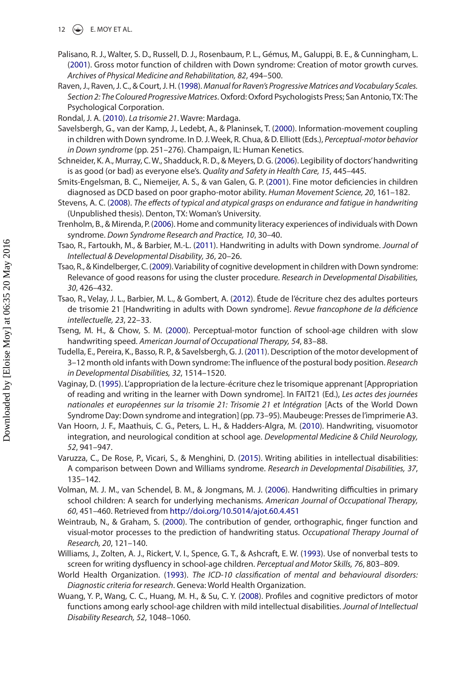- 12  $\left(\frac{1}{2}\right)$  E. MOY ET AL.
- <span id="page-12-11"></span>Palisano, R. J., Walter, S. D., Russell, D. J., Rosenbaum, P. L., Gémus, M., Galuppi, B. E., & Cunningham, L. ([2001](#page-3-15)). Gross motor function of children with Down syndrome: Creation of motor growth curves. *Archives of Physical Medicine and Rehabilitation, 82*, 494–500.
- <span id="page-12-20"></span>Raven, J., Raven, J. C., & Court, J. H. [\(1998](#page-5-2)). *Manual for Raven's Progressive Matrices and Vocabulary Scales. Section 2: The Coloured Progressive Matrices*. Oxford: Oxford Psychologists Press; San Antonio, TX: The Psychological Corporation.
- <span id="page-12-8"></span>Rondal, J. A. ([2010](#page-3-16)). *La trisomie 21*. Wavre: Mardaga.
- <span id="page-12-12"></span>Savelsbergh, G., van der Kamp, J., Ledebt, A., & Planinsek, T. ([2000](#page-3-17)). Information-movement coupling in children with Down syndrome. In D. J. Week, R. Chua, & D. Elliott (Eds.), *Perceptual-motor behavior in Down syndrome* (pp. 251–276). Champaign, IL: Human Kenetics.
- <span id="page-12-0"></span>Schneider, K. A., Murray, C. W., Shadduck, R. D., & Meyers, D. G. [\(2006](#page-2-14)). Legibility of doctors' handwriting is as good (or bad) as everyone else's. *Quality and Safety in Health Care, 15*, 445–445.
- <span id="page-12-19"></span>Smits-Engelsman, B. C., Niemeijer, A. S., & van Galen, G. P. [\(2001\)](#page-5-3). Fine motor deficiencies in children diagnosed as DCD based on poor grapho-motor ability. *Human Movement Science, 20*, 161–182.
- <span id="page-12-1"></span>Stevens, A. C. ([2008](#page-2-15)). *The effects of typical and atypical grasps on endurance and fatigue in handwriting* (Unpublished thesis). Denton, TX: Woman's University.
- <span id="page-12-14"></span>Trenholm, B., & Mirenda, P. [\(2006\)](#page-3-18). Home and community literacy experiences of individuals with Down syndrome. *Down Syndrome Research and Practice, 10*, 30–40.
- <span id="page-12-16"></span>Tsao, R., Fartoukh, M., & Barbier, M.-L. ([2011](#page-3-19)). Handwriting in adults with Down syndrome. *Journal of Intellectual & Developmental Disability, 36*, 20–26.
- <span id="page-12-9"></span>Tsao, R., & Kindelberger, C. [\(2009](#page-3-20)). Variability of cognitive development in children with Down syndrome: Relevance of good reasons for using the cluster procedure. *Research in Developmental Disabilities, 30*, 426–432.
- <span id="page-12-17"></span>Tsao, R., Velay, J. L., Barbier, M. L., & Gombert, A. [\(2012\)](#page-4-1). Étude de l'écriture chez des adultes porteurs de trisomie 21 [Handwriting in adults with Down syndrome]. *Revue francophone de la déficience intellectuelle, 23*, 22–33.
- <span id="page-12-5"></span>Tseng, M. H., & Chow, S. M. [\(2000\)](#page-3-21). Perceptual-motor function of school-age children with slow handwriting speed. *American Journal of Occupational Therapy, 54*, 83–88.
- <span id="page-12-10"></span>Tudella, E., Pereira, K., Basso, R. P., & Savelsbergh, G. J. [\(2011\)](#page-3-22). Description of the motor development of 3–12 month old infants with Down syndrome: The influence of the postural body position. *Research in Developmental Disabilities, 32*, 1514–1520.
- <span id="page-12-15"></span>Vaginay, D. ([1995](#page-3-23)). L'appropriation de la lecture-écriture chez le trisomique apprenant [Appropriation of reading and writing in the learner with Down syndrome]. In FAIT21 (Ed.), *Les actes des journées nationales et européennes sur la trisomie 21: Trisomie 21 et Intégration* [Acts of the World Down Syndrome Day: Down syndrome and integration] (pp. 73–95). Maubeuge: Presses de l'imprimerie A3.
- <span id="page-12-2"></span>Van Hoorn, J. F., Maathuis, C. G., Peters, L. H., & Hadders-Algra, M. ([2010](#page-2-16)). Handwriting, visuomotor integration, and neurological condition at school age. *Developmental Medicine & Child Neurology, 52*, 941–947.
- <span id="page-12-18"></span>Varuzza, C., De Rose, P., Vicari, S., & Menghini, D. [\(2015\)](#page-4-2). Writing abilities in intellectual disabilities: A comparison between Down and Williams syndrome. *Research in Developmental Disabilities, 37*, 135–142.
- <span id="page-12-4"></span>Volman, M. J. M., van Schendel, B. M., & Jongmans, M. J. [\(2006\)](#page-2-17). Handwriting difficulties in primary school children: A search for underlying mechanisms. *American Journal of Occupational Therapy, 60*, 451–460. Retrieved from<http://doi.org/10.5014/ajot.60.4.451>
- <span id="page-12-3"></span>Weintraub, N., & Graham, S. ([2000](#page-2-18)). The contribution of gender, orthographic, finger function and visual-motor processes to the prediction of handwriting status. *Occupational Therapy Journal of Research, 20*, 121–140.
- <span id="page-12-6"></span>Williams, J., Zolten, A. J., Rickert, V. I., Spence, G. T., & Ashcraft, E. W. [\(1993\)](#page-3-24). Use of nonverbal tests to screen for writing dysfluency in school-age children. *Perceptual and Motor Skills, 76*, 803–809.
- <span id="page-12-7"></span>World Health Organization. [\(1993\)](#page-3-25). *The ICD-10 classification of mental and behavioural disorders: Diagnostic criteria for research*. Geneva: World Health Organization.
- <span id="page-12-13"></span>Wuang, Y. P., Wang, C. C., Huang, M. H., & Su, C. Y. ([2008](#page-3-26)). Profiles and cognitive predictors of motor functions among early school-age children with mild intellectual disabilities. *Journal of Intellectual Disability Research, 52*, 1048–1060.